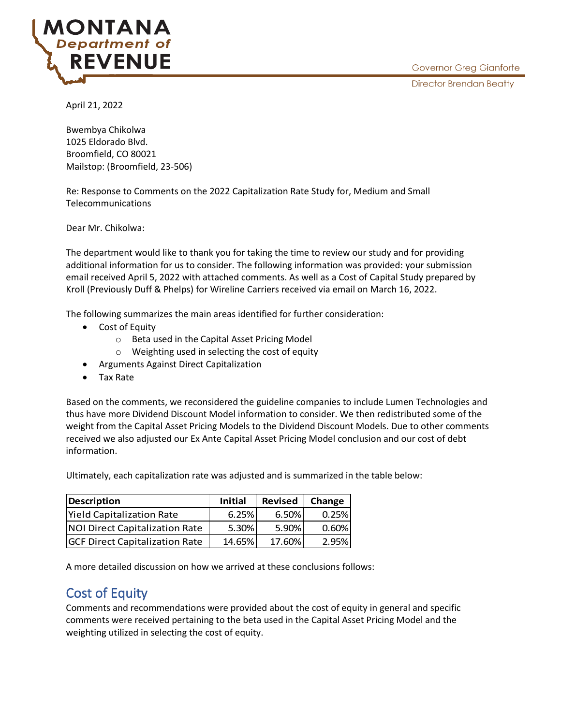

April 21, 2022

Bwembya Chikolwa 1025 Eldorado Blvd. Broomfield, CO 80021 Mailstop: (Broomfield, 23-506)

Re: Response to Comments on the 2022 Capitalization Rate Study for, Medium and Small Telecommunications

Dear Mr. Chikolwa:

The department would like to thank you for taking the time to review our study and for providing additional information for us to consider. The following information was provided: your submission email received April 5, 2022 with attached comments. As well as a Cost of Capital Study prepared by Kroll (Previously Duff & Phelps) for Wireline Carriers received via email on March 16, 2022.

The following summarizes the main areas identified for further consideration:

- Cost of Equity
	- o Beta used in the Capital Asset Pricing Model
	- o Weighting used in selecting the cost of equity
- Arguments Against Direct Capitalization
- Tax Rate

Based on the comments, we reconsidered the guideline companies to include Lumen Technologies and thus have more Dividend Discount Model information to consider. We then redistributed some of the weight from the Capital Asset Pricing Models to the Dividend Discount Models. Due to other comments received we also adjusted our Ex Ante Capital Asset Pricing Model conclusion and our cost of debt information.

Ultimately, each capitalization rate was adjusted and is summarized in the table below:

| <b>Description</b>                    | <b>Initial</b> | <b>Revised</b> | Change |
|---------------------------------------|----------------|----------------|--------|
| <b>Yield Capitalization Rate</b>      | 6.25%          | 6.50%          | 0.25%  |
| <b>NOI Direct Capitalization Rate</b> | 5.30%          | 5.90%          | 0.60%  |
| <b>GCF Direct Capitalization Rate</b> | 14.65%         | 17.60%         | 2.95%  |

A more detailed discussion on how we arrived at these conclusions follows:

## Cost of Equity

Comments and recommendations were provided about the cost of equity in general and specific comments were received pertaining to the beta used in the Capital Asset Pricing Model and the weighting utilized in selecting the cost of equity.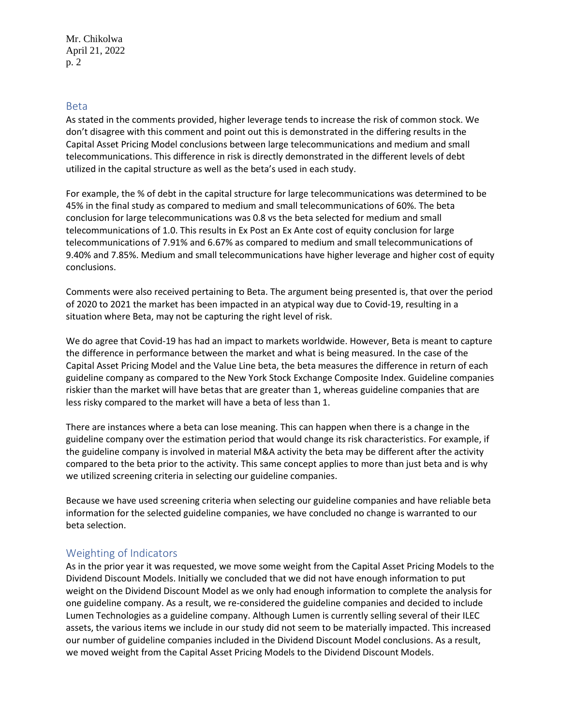#### Beta

As stated in the comments provided, higher leverage tends to increase the risk of common stock. We don't disagree with this comment and point out this is demonstrated in the differing results in the Capital Asset Pricing Model conclusions between large telecommunications and medium and small telecommunications. This difference in risk is directly demonstrated in the different levels of debt utilized in the capital structure as well as the beta's used in each study.

For example, the % of debt in the capital structure for large telecommunications was determined to be 45% in the final study as compared to medium and small telecommunications of 60%. The beta conclusion for large telecommunications was 0.8 vs the beta selected for medium and small telecommunications of 1.0. This results in Ex Post an Ex Ante cost of equity conclusion for large telecommunications of 7.91% and 6.67% as compared to medium and small telecommunications of 9.40% and 7.85%. Medium and small telecommunications have higher leverage and higher cost of equity conclusions.

Comments were also received pertaining to Beta. The argument being presented is, that over the period of 2020 to 2021 the market has been impacted in an atypical way due to Covid-19, resulting in a situation where Beta, may not be capturing the right level of risk.

We do agree that Covid-19 has had an impact to markets worldwide. However, Beta is meant to capture the difference in performance between the market and what is being measured. In the case of the Capital Asset Pricing Model and the Value Line beta, the beta measures the difference in return of each guideline company as compared to the New York Stock Exchange Composite Index. Guideline companies riskier than the market will have betas that are greater than 1, whereas guideline companies that are less risky compared to the market will have a beta of less than 1.

There are instances where a beta can lose meaning. This can happen when there is a change in the guideline company over the estimation period that would change its risk characteristics. For example, if the guideline company is involved in material M&A activity the beta may be different after the activity compared to the beta prior to the activity. This same concept applies to more than just beta and is why we utilized screening criteria in selecting our guideline companies.

Because we have used screening criteria when selecting our guideline companies and have reliable beta information for the selected guideline companies, we have concluded no change is warranted to our beta selection.

#### Weighting of Indicators

As in the prior year it was requested, we move some weight from the Capital Asset Pricing Models to the Dividend Discount Models. Initially we concluded that we did not have enough information to put weight on the Dividend Discount Model as we only had enough information to complete the analysis for one guideline company. As a result, we re-considered the guideline companies and decided to include Lumen Technologies as a guideline company. Although Lumen is currently selling several of their ILEC assets, the various items we include in our study did not seem to be materially impacted. This increased our number of guideline companies included in the Dividend Discount Model conclusions. As a result, we moved weight from the Capital Asset Pricing Models to the Dividend Discount Models.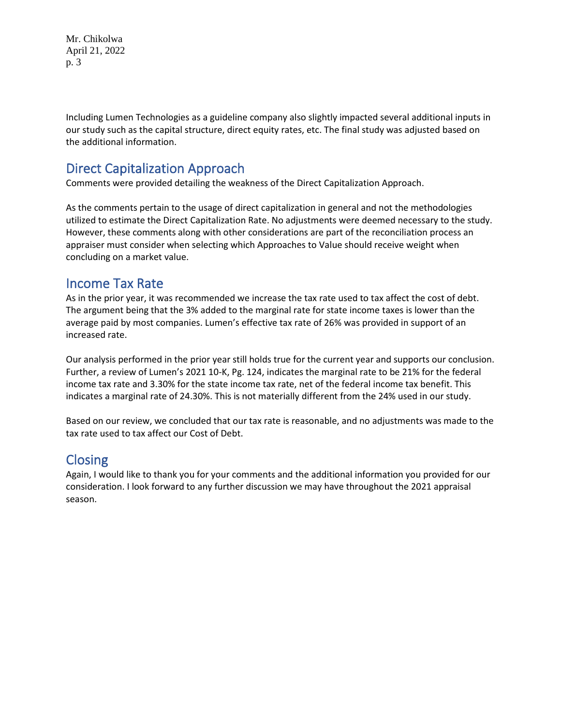Mr. Chikolwa April 21, 2022 p. 3

Including Lumen Technologies as a guideline company also slightly impacted several additional inputs in our study such as the capital structure, direct equity rates, etc. The final study was adjusted based on the additional information.

## Direct Capitalization Approach

Comments were provided detailing the weakness of the Direct Capitalization Approach.

As the comments pertain to the usage of direct capitalization in general and not the methodologies utilized to estimate the Direct Capitalization Rate. No adjustments were deemed necessary to the study. However, these comments along with other considerations are part of the reconciliation process an appraiser must consider when selecting which Approaches to Value should receive weight when concluding on a market value.

### Income Tax Rate

As in the prior year, it was recommended we increase the tax rate used to tax affect the cost of debt. The argument being that the 3% added to the marginal rate for state income taxes is lower than the average paid by most companies. Lumen's effective tax rate of 26% was provided in support of an increased rate.

Our analysis performed in the prior year still holds true for the current year and supports our conclusion. Further, a review of Lumen's 2021 10-K, Pg. 124, indicates the marginal rate to be 21% for the federal income tax rate and 3.30% for the state income tax rate, net of the federal income tax benefit. This indicates a marginal rate of 24.30%. This is not materially different from the 24% used in our study.

Based on our review, we concluded that our tax rate is reasonable, and no adjustments was made to the tax rate used to tax affect our Cost of Debt.

# Closing

Again, I would like to thank you for your comments and the additional information you provided for our consideration. I look forward to any further discussion we may have throughout the 2021 appraisal season.